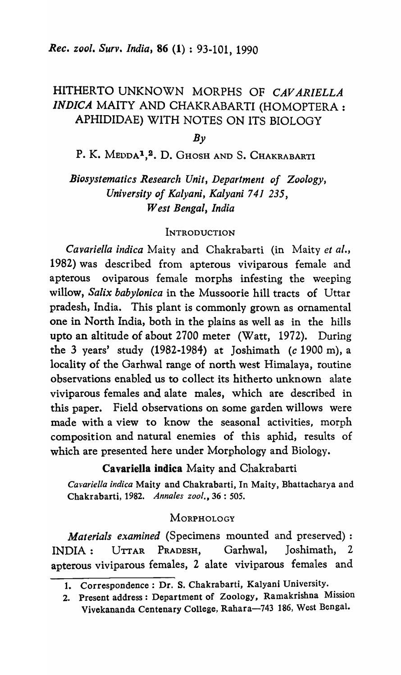# HITHERTO UNKNOWN MORPHS OF *CAY ARIELLA INDICA* MAlTY AND CHAKRABARTI (HOMOPTERA: APHIDIDAE) WITH NOTES ON ITS BIOLOGY

 $Bv$ 

P. K. MEDDA<sup>1</sup>,<sup>2</sup>. D. Ghosh and S. Chakrabarti

# *Biosystematics Research Unit, Department of Zoology, University of Kalyani, Kalyani* 741 235, *West Bengal, India*

## **INTRODUCTION**

*Cavariella indica* Maity and Chakrabarti (in Maity *et al.,*  1982) was described from apterous viviparous female and apterous oviparous female morphs infesting the weeping willow, *Salix babylonica* in the Mussoorie hill tracts of Uttar pradesh, India. This plant is commonly grown as ornamental one in North India, both in the plains as well as in the hills upto an altitude of about 2700 meter (Watt, 1972). During the 3 years' study (1982-1984) at Joshimath (c 1900 m), a locality of the Garhwal range of north west Himalaya, routine observations enabled us to collect its hitherto unknown alate viviparous females and alate males, which are described in this paper. Field observations on some garden willows were made with a view to know the seasonal activities, morph composition and natural enemies of this aphid, results of which are presented here under Morphology and Biology.

Cavariella indica Maity and Chakrabarti

*Cavariella indica* Maity and Chakrabarti, In Maity, Bhattacharya and Chakrabarti, 1982. *Annales zool.*, 36: 505.

#### **MORPHOLOGY**

*Materials examined* (Specimens mounted and preserved) : INDIA: UTTAR PRADESH, Garhwal, Joshimath, 2 apterous viviparous females, 2 alate viviparous females and

<sup>1.</sup> Correspondence: Dr. S. Chakrabarti, Kalyani University.

<sup>2.</sup> Present address: Department of Zoology, Ramakrishna Mission Vivekananda Centenary College, Rahara-743 186, West Bengal.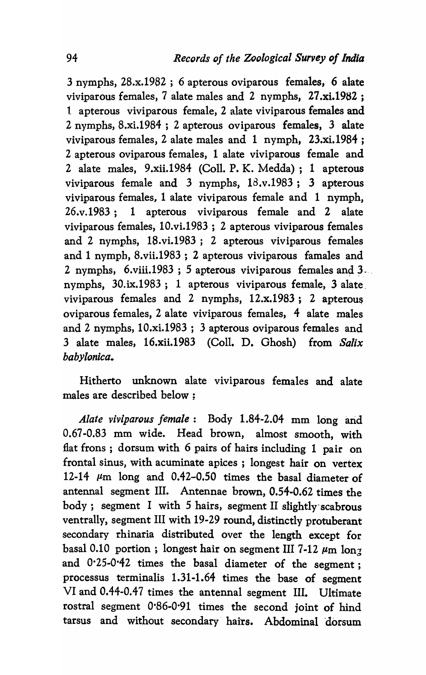3 nymphs, 28.x.1982 ; 6 apterous oviparous females, 6 alate viviparous females, 7 alate males and 2 nymphs, 27.xi.1982; 1 apterous viviparous female, 2 alate viviparous females and 2 nymphs, 8.xi.1984 ; 2 apterous oviparous females, 3 alate viviparous females, 2 alate males and 1 nymph, 23.xi.1984; 2 apterous oviparous females, 1 alate viviparous female and 2 alate males, 9.xii.1984 (CoIl. P. K. Medda); 1 apterous viviparous female and  $3$  nymphs,  $18 \cdot v \cdot 1983$ ;  $3$  apterous viviparous females, 1 alate viviparous female and 1 nymph, 26.v.1983; 1 apterous viviparous female and 2 alate viviparous females, 10.vi.1983 ; 2 apterous viviparous females and 2 nymphs, 18.vi.1983; 2 apterous viviparous females and 1 nymph, 8.vii.1983 ; 2 apterous viviparous famales and 2 nymphs, 6.viii.1983; 5 apterous viviparous females and  $3$ . nymphs, 30.ix.1983; 1 apterous viviparous female, 3 alate. viviparous females and 2 nymphs,  $12.x.1983$ ; 2 apterous oviparous females, 2 alate viviparous females, 4 alate males and 2 nymphs, 10.xi.1983 ; 3 apterous oviparous females and 3 alate males, 16.xii.1983 (CoIl. D. Ghosh) from *'Salix babylonica.* 

Hitherto unknown alate viviparous females and alate males are described below ;

*Alate viviparous female:* Body 1.84-2.04 mm long arid 0.67 -0.83 mm wide. Head brown, almost smooth, with flat frons; dorsum with 6 pairs of hairs including 1 pair on frontal sinus, with acuminate apices ; longest hair on vertex 12-14  $\mu$ m long and 0.42-0.50 times the basal diameter of antennal segment III. Antennae brown, 0.54-0.62 times the body; segment I with 5 hairs, segment II slightly-scabrous ventrally, segment III with 19-29 round, distinctly protuberant secondary rhinaria distributed over the length except for basal 0.10 portion; longest hair on segment III 7-12  $\mu$ m lon<sub>7</sub> and 0·25-0'42 times the basal diameter of the segment; processus terminalis 1.31-1.64 times the base of segment VI and 0.44-0.47 times the antennal segment III. Ultimate rostral segment 0'86-0'91 times the second joint of hind tarsus and without secondary' hairs. Abdominal 'dorsum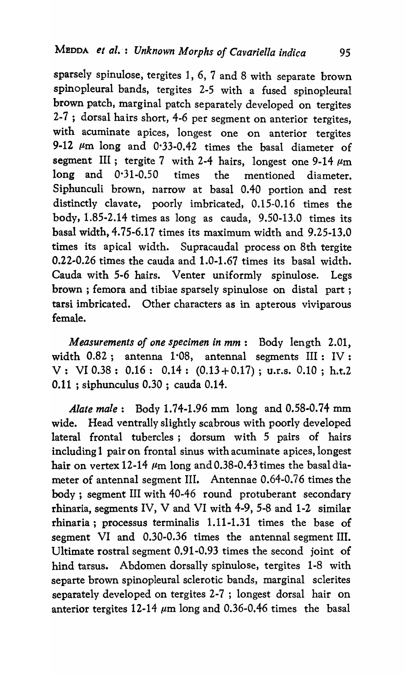sparsely spinulose; tergites 1, 6, 7 and 8 with separate brown spinopleural bands, tergites 2-5 with a fused spinopleural brown patch, marginal patch separately developed on tergites 2-7 ; dorsal hairs short, 4-6 per segment on anterior tergites, with acuminate apices, longest one on anterior tergites 9-12  $\mu$ m long and 0.33-0.42 times the basal diameter of segment III; tergite 7 with 2-4 hairs, longest one 9-14  $\mu$ m long and 0·31-0.50 times the mentioned diameter. Siphunculi brown, narrow at basal 0.40 portion and rest distinctly clavate, poorly imbricated, 0.15-0.16 times the body, 1.85-2.14 times as long as cauda, 9.50-13.0 times its basal width, 4.75-6.17 times its maximum width and 9.25-13.0 times its apical width. Supracaudal process on 8th tergite  $0.22 - 0.26$  times the cauda and  $1.0 - 1.67$  times its basal width. Cauda with 5-6 hairs. Venter uniformly spinulose. Legs brown; femora and tibiae sparsely spinulose on distal part; tarsi imbricated. Other characters as in apterous viviparous female.

*Measurements of one specimen in mm:* Body length 2.01, width 0.82; antenna 1.08, antennal segments III: IV: V: VI 0.38: 0.16: 0.14:  $(0.13 + 0.17)$ ; u.r.s. 0.10; h.t.2 0.11 ; siphunculus 0.30 ; cauda 0.14.

*Alate male*: Body 1.74-1.96 mm long and 0.58-0.74 mm wide. Head ventrally slightly scabrous with poorly developed lateral frontal tubercles; dorsum with 5 pairs of hairs including 1 pair on frontal sinus with acuminate apices, longest hair on vertex 12-14  $\mu$ m long and 0.38-0.43 times the basal diameter of antennal segment III. Antennae 0.64-0.76 times the body; segment III with 40-46 round protuberant secondary rhinaria, segments IV, V and VI with 4-9, 5-8 and 1-2 similar rhinaria; processus terminalis 1.11-1.31 times the base of segment VI and 0.30-0.36 times the antennal segment III. Ultimate rostral segment 0.91-0.93 times the second joint of hind tarsus. Abdomen dorsally spinulose, tergites 1-8 with separte brown spinopleural sclerotic bands, marginal sclerites separately developed on tergites 2-7 ; longest dorsal hair on anterior tergites 12-14  $\mu$ m long and 0.36-0.46 times the basal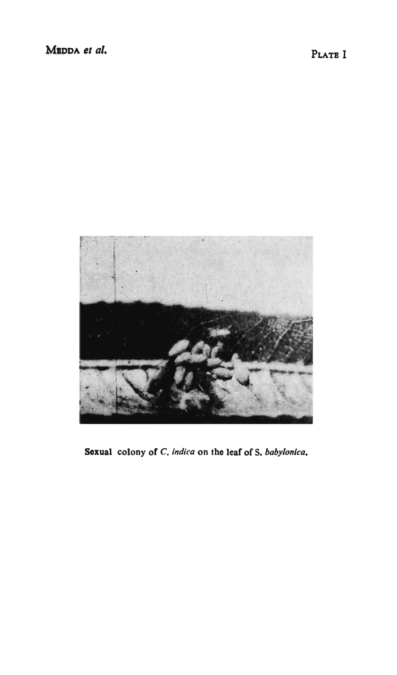

Sexual colony of C. indica on the leaf of S. babylonica.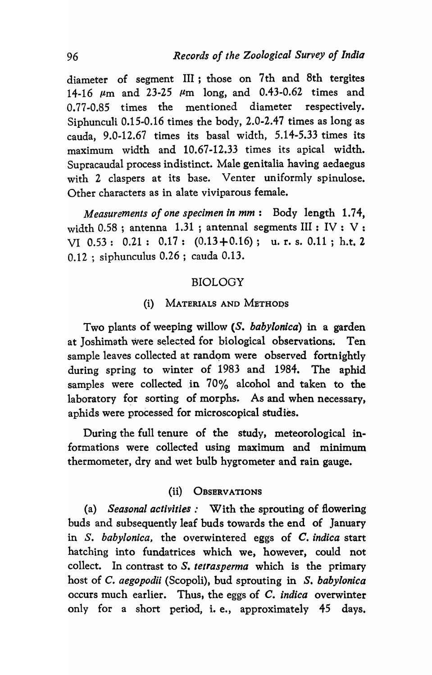diameter of segment III; those on 7 th and 8th tergites 14-16  $\mu$ m and 23-25  $\mu$ m long, and 0.43-0.62 times and 0.77-0.85 times the mentioned diameter respectively. Siphunculi 0.15-0.16 times the body, 2.0-2.47 times as long as cauda, 9.0-12.67 times its basal width, 5.14-5.33 times its maximum width and 10.67-12.33 times its apical width. Supracaudal process indistinct. Male genitalia having aedaegus with 2 claspers at its base. Venter uniformly spinulose. Other characters as in alate viviparous female.

*Measurements of one specimen in mm:* Body length 1.74, width 0.58; antenna 1.31; antennal segments III : IV : V : VI 0.53: 0.21: 0.17: (0.13+0.16); u. r. s. 0.11 ; h.t. Z 0.12 ; siphunculus 0.26; cauda 0.13.

## BIOLOGY

#### (i) MATERIALS AND METHODS

Two plants of weeping willow (S. *baby/onica)* in a garden at Joshimath were selected for biological observations. Ten sample leaves collected at random were observed fortnightly during spring to winter of 1983 and 1984. The aphid samples were collected in 70% alcohol and taken to the laboratory for sorting of morphs. As and when necessary, aphids were processed for microscopical studies.

During the full tenure of the study, meteorological informations were collected using maximum and minimum thermometer, dry and wet bulb hygrometer and rain gauge.

#### (ii) OBSERVATIONS

(a) *Seasonal activities:* With the sprouting of flowering buds and subsequently leaf buds towards the end of January in S. *babylanica,* the overwintered eggs of C. *indica* start hatching into fundatrices which we, however, could not collect. In contrast to S. *tetrasperma* which is the primary host of C. *aegopodii* (Scopoli), bud sprouting in *S. baby/onica*  occurs much earlier. Thus, the eggs of C. *indica* overwinter only for a short period, i. e., approximately 45 days.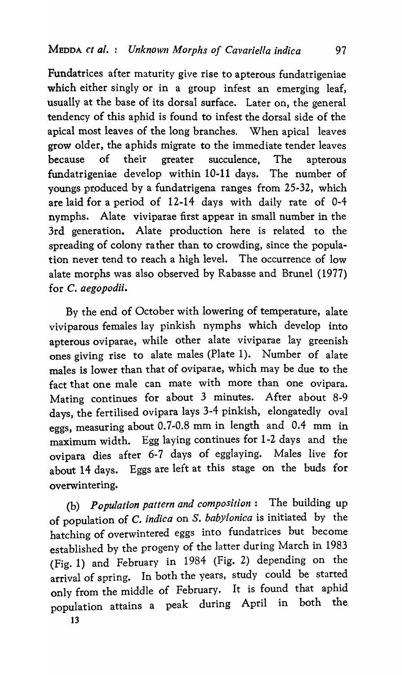Fundatrices after maturity give rise to apterous fundatrigeniae which either singly or in a group infest an emerging leaf, usually at the base of its dorsal surface. Later on, the general tendency of this aphid is found to infest the dorsal side of the apical most leaves of the long branches. When apical leaves grow older, the aphids migrate to the immediate tender leaves because of their greater succulence, The apterous fundatrigeniae develop within 10-11 days. The number of youngs produced by a fundatrigena ranges from 25-32, which are laid for a period of 12-14 days with daily rate of 0-4 nymphs. Alate viviparae first appear in small number in the 3rd generation. Alate production here is related to the spreading of colony rather than to crowding, since the population never tend to reach a high level. The occurrence of low alate morphs was also observed by Rabasse and Brunel (1977) for C. *aegopodii.* 

By the end of October with lowering of temperature, alate viviparous females lay pinkish nymphs which develop into apterous oviparae, while other alate viviparae lay greenish ones giving rise to alate males (Plate 1). Number of alate males is lower than that of oviparae, which may be due to the fact that one male can mate with more than one ovipara. Mating continues for about 3 minutes. After about 8-9 days, the fertilised ovipara lays 3-4 pinkish, elongatedly oval eggs, measuring about 0.7-0.8 mm in length and 0.4 mm in maximum width. Egg laying continues for 1-2 days and the ovipara dies after 6-7 days of egglaying. Males live for about 14 days. Eggs are left at this stage on the buds for overwintering.

(b) *Population pattern and composition:* The building up of population of C. *indica* on S. *babylonica* is initiated by the hatching of overwintered eggs into fundatrices but become established by the progeny of the latter during March in 1983 (Fig. 1) and February in 1984 (Fig. 2) depending on the arrival of spring. In both the years, study could be started only from the middle of February. It is found that aphid population attains a peak during April in both the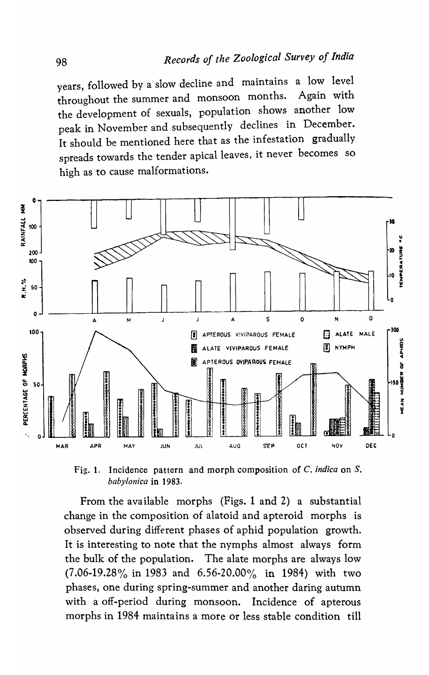years, followed by a slow decline and maintains a low level throughout the summer and monsoon months. Again with the development of sexuals, population shows another low peak in November and subsequently declines in December. It should be mentioned here that as the infestation gradually spreads towards the tender apical leaves, it never becomes so high as to cause malformations.



Incidence pattern and morph composition of C. indica on S.  $Fig. 1.$ babylonica in 1983.

From the available morphs (Figs. 1 and 2) a substantial change in the composition of alatoid and apteroid morphs is observed during different phases of aphid population growth. It is interesting to note that the nymphs almost always form the bulk of the population. The alate morphs are always low  $(7.06-19.28\%$  in 1983 and 6.56-20.00% in 1984) with two phases, one during spring-summer and another daring autumn with a off-period during monsoon. Incidence of apterous morphs in 1984 maintains a more or less stable condition till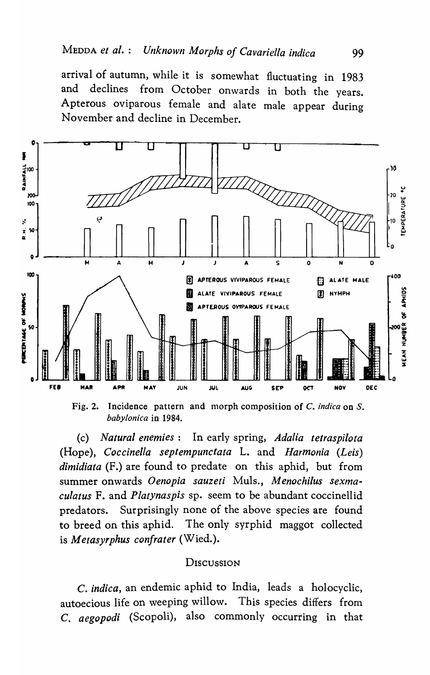arrival of autumn, while it is somewhat fluctuating in 1983 declines from October onwards in both the years. and Apterous oviparous female and alate male appear during November and decline in December.



Incidence pattern and morph composition of C. indica on S. Fig. 2. babylonica in 1984.

(c) Natural enemies : In early spring, Adalia tetraspilota (Hope), Coccinella septempunctata L. and Harmonia (Leis) *dimidiata* (F.) are found to predate on this aphid, but from summer onwards Oenopia sauzeti Muls., Menochilus sexmaculatus F. and Platynaspis sp. seem to be abundant coccinellid predators. Surprisingly none of the above species are found to breed on this aphid. The only syrphid maggot collected is Metasyrphus confrater (Wied.).

#### Discussion

C. indica, an endemic aphid to India, leads a holocyclic, autoecious life on weeping willow. This species differs from C. aegopodi (Scopoli), also commonly occurring in that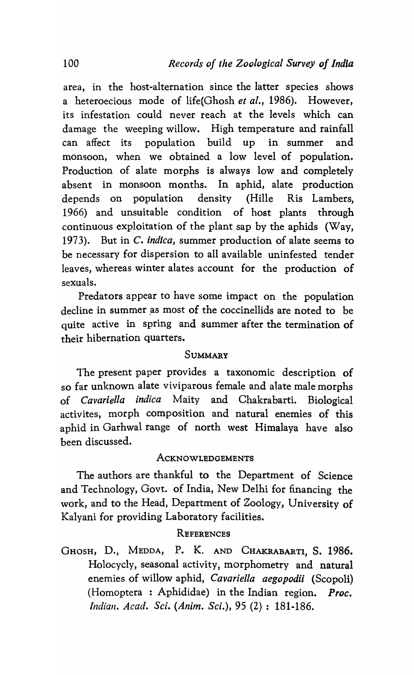area, in the host-alternation since the latter species shows a heteroecious mode of life(Ghosh *et al.*, 1986). However, its infestation could never reach at the levels which can damage the weeping willow. High temperature and rainfall can affect its population build up in summer and monsoon, when we obtained a low level of population. Production of alate morphs is always low and completely absent in monsoon months. In aphid, alate production depends on population density (Hille Ris Lambers, 1966) and unsuitable condition of host plants through continuous exploitation of the plant sap by the aphids (Way, 1973). But in C. *indica,* summer production of alate seems to be necessary for dispersion to all available uninfested tender leaves, whereas winter alates account for the production of sexuals.

Predators appear to have some impact on the population decline in summer as most of the coccinellids are noted to be quite active in spring and summer after the termination of their hibernation quarters.

#### SUMMARY

The present paper provides a taxonomic description of so far unknown alate viviparous female and alate male morphs of *Cavariella indica* Maity and Chakrabarti. Biological activites, morph composition and natural enemies of this aphid in Garhwal range of north west Himalaya have also been discussed.

# ACKNOWLEDGEMENTS

The authors are thankful to the Department of Science and Technology, Govt. of India, New Delhi for financing the work, and to the Head, Department of Zoology, University of Kalyani for providing Laboratory facilities.

# **REFERENCES**

GHOSH, D., MEDDA, P. K. AND CHAKRABARTI, S. 1986. Holocycly, seasonal activity, morphometry and natural enemies of willow aphid, *Cavariella aegopodii* (Scopoli) (Homoptera : Aphididae) in the Indian region. *Proc. Indiall. Acad. Sci. (Anim. Sci.),* 95 (2) : 181-186.